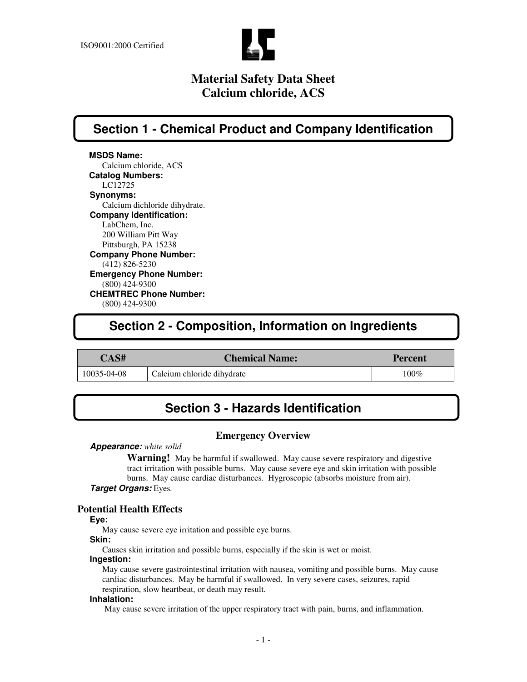

**Section 1 - Chemical Product and Company Identification**

**MSDS Name:** Calcium chloride, ACS **Catalog Numbers:** LC12725 **Synonyms:** Calcium dichloride dihydrate. **Company Identification:** LabChem, Inc. 200 William Pitt Way Pittsburgh, PA 15238 **Company Phone Number:** (412) 826-5230 **Emergency Phone Number:** (800) 424-9300 **CHEMTREC Phone Number:** (800) 424-9300

## **Section 2 - Composition, Information on Ingredients**

### **CAS# Chemical Name: Percent**

10035-04-08 Calcium chloride dihydrate 100% 100%

## **Section 3 - Hazards Identification**

### **Emergency Overview**

#### *Appearance: white solid*

**Warning!** May be harmful if swallowed. May cause severe respiratory and digestive tract irritation with possible burns. May cause severe eye and skin irritation with possible burns. May cause cardiac disturbances. Hygroscopic (absorbs moisture from air). *Target Organs:* Eyes*.*

### **Potential Health Effects**

**Eye:**

May cause severe eye irritation and possible eye burns.

### **Skin:**

Causes skin irritation and possible burns, especially if the skin is wet or moist.

### **Ingestion:**

May cause severe gastrointestinal irritation with nausea, vomiting and possible burns. May cause cardiac disturbances. May be harmful if swallowed. In very severe cases, seizures, rapid respiration, slow heartbeat, or death may result.

#### **Inhalation:**

May cause severe irritation of the upper respiratory tract with pain, burns, and inflammation.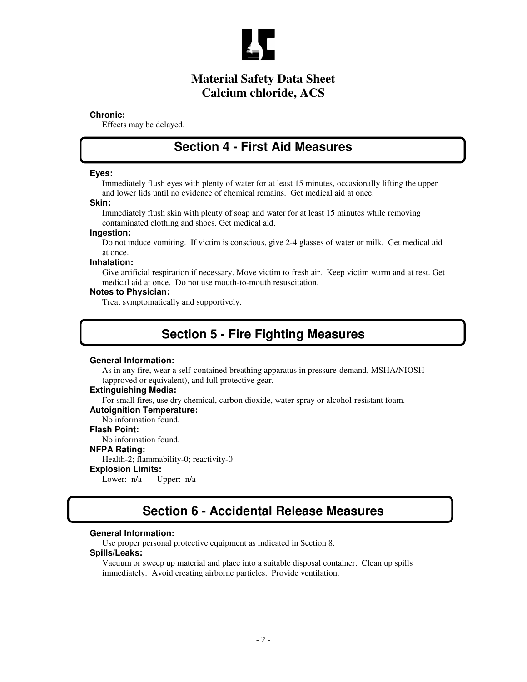

#### **Chronic:**

Effects may be delayed.

### **Section 4 - First Aid Measures**

#### **Eyes:**

Immediately flush eyes with plenty of water for at least 15 minutes, occasionally lifting the upper and lower lids until no evidence of chemical remains. Get medical aid at once.

#### **Skin:**

Immediately flush skin with plenty of soap and water for at least 15 minutes while removing contaminated clothing and shoes. Get medical aid.

#### **Ingestion:**

Do not induce vomiting. If victim is conscious, give 2-4 glasses of water or milk. Get medical aid at once.

#### **Inhalation:**

Give artificial respiration if necessary. Move victim to fresh air. Keep victim warm and at rest. Get medical aid at once. Do not use mouth-to-mouth resuscitation.

#### **Notes to Physician:**

Treat symptomatically and supportively.

## **Section 5 - Fire Fighting Measures**

#### **General Information:**

As in any fire, wear a self-contained breathing apparatus in pressure-demand, MSHA/NIOSH (approved or equivalent), and full protective gear.

#### **Extinguishing Media:**

For small fires, use dry chemical, carbon dioxide, water spray or alcohol-resistant foam.

#### **Autoignition Temperature:**

No information found.

### **Flash Point:**

No information found.

#### **NFPA Rating:**

Health-2; flammability-0; reactivity-0

#### **Explosion Limits:**

Lower: n/a Upper: n/a

### **Section 6 - Accidental Release Measures**

### **General Information:**

Use proper personal protective equipment as indicated in Section 8.

#### **Spills/Leaks:**

Vacuum or sweep up material and place into a suitable disposal container. Clean up spills immediately. Avoid creating airborne particles. Provide ventilation.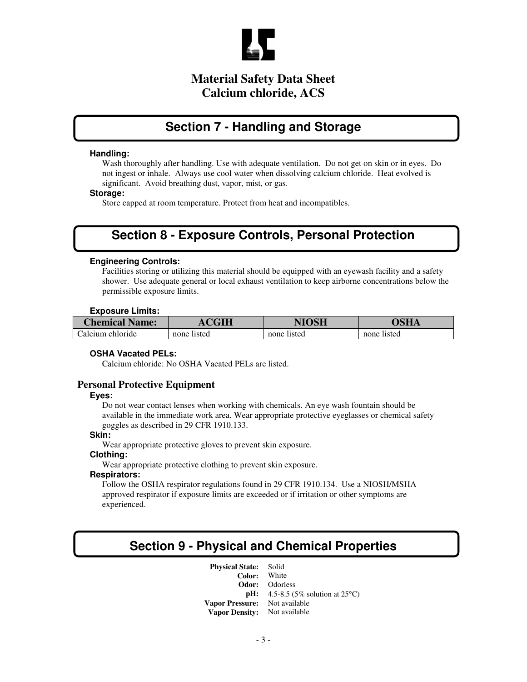

## **Section 7 - Handling and Storage**

#### **Handling:**

Wash thoroughly after handling. Use with adequate ventilation. Do not get on skin or in eyes. Do not ingest or inhale. Always use cool water when dissolving calcium chloride. Heat evolved is significant. Avoid breathing dust, vapor, mist, or gas.

#### **Storage:**

Store capped at room temperature. Protect from heat and incompatibles.

## **Section 8 - Exposure Controls, Personal Protection**

### **Engineering Controls:**

Facilities storing or utilizing this material should be equipped with an eyewash facility and a safety shower. Use adequate general or local exhaust ventilation to keep airborne concentrations below the permissible exposure limits.

#### **Exposure Limits:**

| <b>Chemical Name:</b> | <b>CHH</b>  | NIOSH       | NCTT .      |
|-----------------------|-------------|-------------|-------------|
| Calcium chloride      | none listed | none listed | none listed |

#### **OSHA Vacated PELs:**

Calcium chloride: No OSHA Vacated PELs are listed.

#### **Personal Protective Equipment**

#### **Eyes:**

Do not wear contact lenses when working with chemicals. An eye wash fountain should be available in the immediate work area. Wear appropriate protective eyeglasses or chemical safety goggles as described in 29 CFR 1910.133.

#### **Skin:**

Wear appropriate protective gloves to prevent skin exposure.

#### **Clothing:**

Wear appropriate protective clothing to prevent skin exposure.

### **Respirators:**

Follow the OSHA respirator regulations found in 29 CFR 1910.134. Use a NIOSH/MSHA approved respirator if exposure limits are exceeded or if irritation or other symptoms are experienced.

## **Section 9 - Physical and Chemical Properties**

**Physical State:** Solid **Color: Odor:** Odorless **pH:** 4.5-8.5 (5% solution at 25<sup>°</sup>C) **Vapor Pressure:** Not available **Vapor Density:** Not available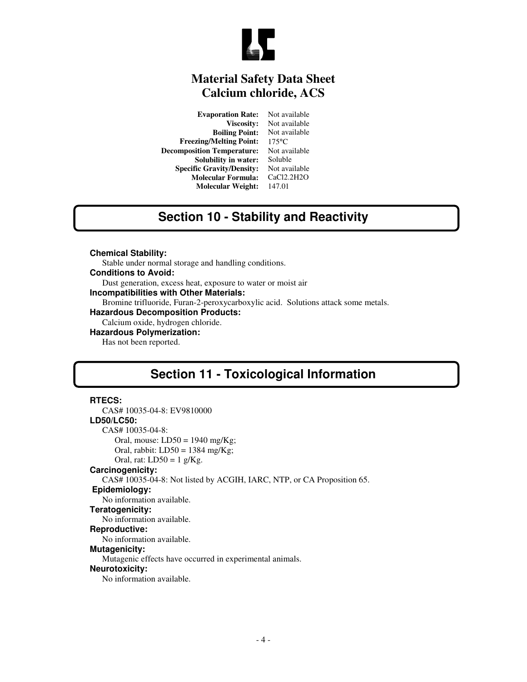

**Evaporation Rate:** Not available<br>Viscosity: Not available Not available<br>Not available **Boiling Point:** Not available Melting Point: 175<sup>o</sup>C **Freezing/Melting Point:** 175°C<br>mposition Temperature: Not available **Decomposition Temperature: Solubility in water:** Soluble **Specific Gravity/Density:** Not available<br>**Molecular Formula:** CaCl2.2H2O **Molecular Formula: Molecular Weight:** 147.01

# **Section 10 - Stability and Reactivity**

**Chemical Stability:**

Stable under normal storage and handling conditions.

**Conditions to Avoid:**

Dust generation, excess heat, exposure to water or moist air

**Incompatibilities with Other Materials:**

Bromine trifluoride, Furan-2-peroxycarboxylic acid. Solutions attack some metals.

**Hazardous Decomposition Products:**

Calcium oxide, hydrogen chloride.

**Hazardous Polymerization:**

Has not been reported.

## **Section 11 - Toxicological Information**

#### **RTECS:**

CAS# 10035-04-8: EV9810000 **LD50/LC50:** CAS# 10035-04-8: Oral, mouse:  $LD50 = 1940$  mg/Kg; Oral, rabbit:  $LD50 = 1384$  mg/Kg; Oral, rat:  $LD50 = 1$  g/Kg. **Carcinogenicity:** CAS# 10035-04-8: Not listed by ACGIH, IARC, NTP, or CA Proposition 65. **Epidemiology:** No information available. **Teratogenicity:** No information available. **Reproductive:** No information available. **Mutagenicity:** Mutagenic effects have occurred in experimental animals. **Neurotoxicity:** No information available.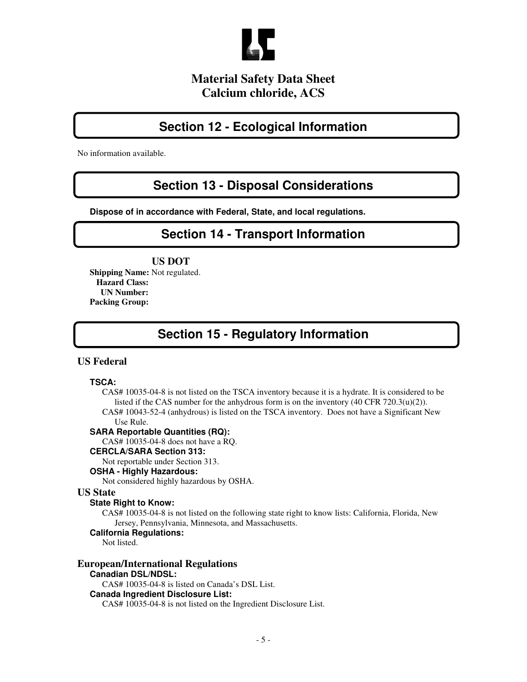

## **Section 12 - Ecological Information**

No information available.

## **Section 13 - Disposal Considerations**

**Dispose of in accordance with Federal, State, and local regulations.**

## **Section 14 - Transport Information**

### **US DOT**

**Shipping Name:** Not regulated. **Hazard Class: UN Number: Packing Group:**

## **Section 15 - Regulatory Information**

### **US Federal**

#### **TSCA:**

CAS# 10035-04-8 is not listed on the TSCA inventory because it is a hydrate. It is considered to be listed if the CAS number for the anhydrous form is on the inventory (40 CFR 720.3(u)(2)).

CAS# 10043-52-4 (anhydrous) is listed on the TSCA inventory. Does not have a Significant New Use Rule.

### **SARA Reportable Quantities (RQ):**

CAS# 10035-04-8 does not have a RQ.

#### **CERCLA/SARA Section 313:**

Not reportable under Section 313.

### **OSHA - Highly Hazardous:**

Not considered highly hazardous by OSHA.

### **US State**

### **State Right to Know:**

CAS# 10035-04-8 is not listed on the following state right to know lists: California, Florida, New Jersey, Pennsylvania, Minnesota, and Massachusetts.

#### **California Regulations:**

Not listed.

### **European/International Regulations**

### **Canadian DSL/NDSL:**

CAS# 10035-04-8 is listed on Canada's DSL List.

#### **Canada Ingredient Disclosure List:**

CAS# 10035-04-8 is not listed on the Ingredient Disclosure List.